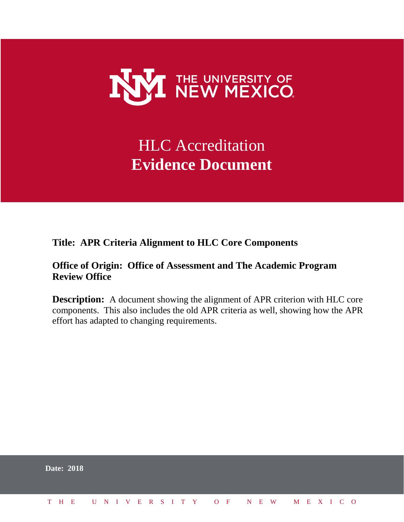

# HLC Accreditation **Evidence Document**

**Title: APR Criteria Alignment to HLC Core Components**

# **Office of Origin: Office of Assessment and The Academic Program Review Office**

**Description:** A document showing the alignment of APR criterion with HLC core components. This also includes the old APR criteria as well, showing how the APR effort has adapted to changing requirements.

|  | <b>Date: 2018</b> |  |  |  |  |  |  |  |  |                          |  |  |  |  |
|--|-------------------|--|--|--|--|--|--|--|--|--------------------------|--|--|--|--|
|  | T H E             |  |  |  |  |  |  |  |  | UNIVERSITY OF NEW MEXICO |  |  |  |  |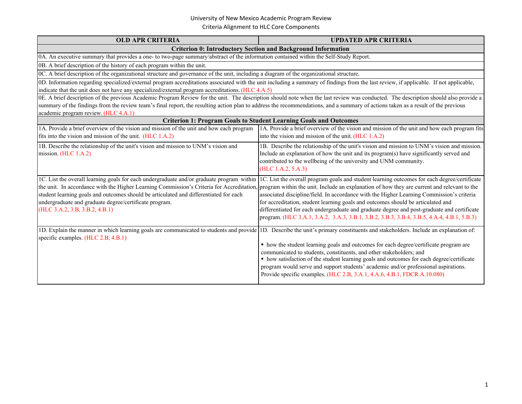| <b>OLD APR CRITERIA</b>                                                                                                                                                                                                                                                                                                                                                                                          | <b>UPDATED APR CRITERIA</b>                                                                                                                                                                                                                                                                                                                                                                                                                                                                                                                                                                                                                                                                                                                                   |  |  |  |  |  |  |  |
|------------------------------------------------------------------------------------------------------------------------------------------------------------------------------------------------------------------------------------------------------------------------------------------------------------------------------------------------------------------------------------------------------------------|---------------------------------------------------------------------------------------------------------------------------------------------------------------------------------------------------------------------------------------------------------------------------------------------------------------------------------------------------------------------------------------------------------------------------------------------------------------------------------------------------------------------------------------------------------------------------------------------------------------------------------------------------------------------------------------------------------------------------------------------------------------|--|--|--|--|--|--|--|
|                                                                                                                                                                                                                                                                                                                                                                                                                  | <b>Criterion 0: Introductory Section and Background Information</b>                                                                                                                                                                                                                                                                                                                                                                                                                                                                                                                                                                                                                                                                                           |  |  |  |  |  |  |  |
| 0A. An executive summary that provides a one- to two-page summary/abstract of the information contained within the Self-Study Report.                                                                                                                                                                                                                                                                            |                                                                                                                                                                                                                                                                                                                                                                                                                                                                                                                                                                                                                                                                                                                                                               |  |  |  |  |  |  |  |
| 0B. A brief description of the history of each program within the unit.                                                                                                                                                                                                                                                                                                                                          |                                                                                                                                                                                                                                                                                                                                                                                                                                                                                                                                                                                                                                                                                                                                                               |  |  |  |  |  |  |  |
| 0C. A brief description of the organizational structure and governance of the unit, including a diagram of the organizational structure.                                                                                                                                                                                                                                                                         |                                                                                                                                                                                                                                                                                                                                                                                                                                                                                                                                                                                                                                                                                                                                                               |  |  |  |  |  |  |  |
| 0D. Information regarding specialized/external program accreditations associated with the unit including a summary of findings from the last review, if applicable. If not applicable,<br>indicate that the unit does not have any specialized/external program accreditations. (HLC 4.A.5)                                                                                                                      |                                                                                                                                                                                                                                                                                                                                                                                                                                                                                                                                                                                                                                                                                                                                                               |  |  |  |  |  |  |  |
| 0E. A brief description of the previous Academic Program Review for the unit. The description should note when the last review was conducted. The description should also provide a<br>summary of the findings from the review team's final report, the resulting action plan to address the recommendations, and a summary of actions taken as a result of the previous<br>academic program review. (HLC 4.A.1) |                                                                                                                                                                                                                                                                                                                                                                                                                                                                                                                                                                                                                                                                                                                                                               |  |  |  |  |  |  |  |
|                                                                                                                                                                                                                                                                                                                                                                                                                  | <b>Criterion 1: Program Goals to Student Learning Goals and Outcomes</b>                                                                                                                                                                                                                                                                                                                                                                                                                                                                                                                                                                                                                                                                                      |  |  |  |  |  |  |  |
| 1A. Provide a brief overview of the vision and mission of the unit and how each program<br>fits into the vision and mission of the unit. (HLC 1.A.2)                                                                                                                                                                                                                                                             | 1A. Provide a brief overview of the vision and mission of the unit and how each program fits<br>into the vision and mission of the unit. (HLC 1.A.2)                                                                                                                                                                                                                                                                                                                                                                                                                                                                                                                                                                                                          |  |  |  |  |  |  |  |
| 1B. Describe the relationship of the unit's vision and mission to UNM's vision and<br>mission. (HLC 1.A.2)                                                                                                                                                                                                                                                                                                       | 1B. Describe the relationship of the unit's vision and mission to UNM's vision and mission.<br>Include an explanation of how the unit and its program(s) have significantly served and<br>contributed to the wellbeing of the university and UNM community.<br>(HLC 1.A.2, 5.A.3)                                                                                                                                                                                                                                                                                                                                                                                                                                                                             |  |  |  |  |  |  |  |
| student learning goals and outcomes should be articulated and differentiated for each<br>undergraduate and graduate degree/certificate program.<br>(HLC 3.A.2, 3.B, 3.B.2, 4.B.1)                                                                                                                                                                                                                                | 1C. List the overall learning goals for each undergraduate and/or graduate program within 1C. List the overall program goals and student learning outcomes for each degree/certificate<br>the unit. In accordance with the Higher Learning Commission's Criteria for Accreditation, program within the unit. Include an explanation of how they are current and relevant to the<br>associated discipline/field. In accordance with the Higher Learning Commission's criteria<br>for accreditation, student learning goals and outcomes should be articulated and<br>differentiated for each undergraduate and graduate degree and post-graduate and certificate<br>program. (HLC 3.A.1, 3.A.2, 3.A.3, 3.B.1, 3.B.2, 3.B.3, 3.B.4, 3.B.5, 4.A.4, 4.B.1, 5.B.3) |  |  |  |  |  |  |  |
| 1D. Explain the manner in which learning goals are communicated to students and provide 1D. Describe the unit's primary constituents and stakeholders. Include an explanation of:<br>specific examples. (HLC 2.B, 4.B.1)                                                                                                                                                                                         | • how the student learning goals and outcomes for each degree/certificate program are<br>communicated to students, constituents, and other stakeholders; and<br>• how satisfaction of the student learning goals and outcomes for each degree/certificate<br>program would serve and support students' academic and/or professional aspirations.<br>Provide specific examples. (HLC 2.B, 3.A.1, 4.A.6, 4.B.1, FDCR.A.10.080)                                                                                                                                                                                                                                                                                                                                  |  |  |  |  |  |  |  |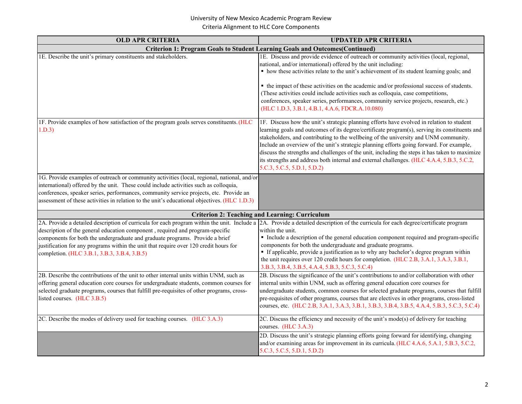| <b>OLD APR CRITERIA</b>                                                                                                                                                                                                                                                                                                                                                                                                                                                                       | <b>UPDATED APR CRITERIA</b>                                                                                                                                                                                                                                                                                                                                                                                                                                                                                                                                                                                    |
|-----------------------------------------------------------------------------------------------------------------------------------------------------------------------------------------------------------------------------------------------------------------------------------------------------------------------------------------------------------------------------------------------------------------------------------------------------------------------------------------------|----------------------------------------------------------------------------------------------------------------------------------------------------------------------------------------------------------------------------------------------------------------------------------------------------------------------------------------------------------------------------------------------------------------------------------------------------------------------------------------------------------------------------------------------------------------------------------------------------------------|
|                                                                                                                                                                                                                                                                                                                                                                                                                                                                                               | Criterion 1: Program Goals to Student Learning Goals and Outcomes(Continued)                                                                                                                                                                                                                                                                                                                                                                                                                                                                                                                                   |
| 1E. Describe the unit's primary constituents and stakeholders.                                                                                                                                                                                                                                                                                                                                                                                                                                | 1E. Discuss and provide evidence of outreach or community activities (local, regional,<br>national, and/or international) offered by the unit including:<br>• how these activities relate to the unit's achievement of its student learning goals; and<br>• the impact of these activities on the academic and/or professional success of students.<br>(These activities could include activities such as colloquia, case competitions,<br>conferences, speaker series, performances, community service projects, research, etc.)<br>(HLC 1.D.3, 3.B.1, 4.B.1, 4.A.6, FDCR.A.10.080)                           |
| 1F. Provide examples of how satisfaction of the program goals serves constituents. (HLC<br>1.D.3                                                                                                                                                                                                                                                                                                                                                                                              | 1F. Discuss how the unit's strategic planning efforts have evolved in relation to student<br>learning goals and outcomes of its degree/certificate program(s), serving its constituents and<br>stakeholders, and contributing to the wellbeing of the university and UNM community.<br>Include an overview of the unit's strategic planning efforts going forward. For example,<br>discuss the strengths and challenges of the unit, including the steps it has taken to maximize<br>its strengths and address both internal and external challenges. (HLC 4.A.4, 5.B.3, 5.C.2,<br>5.C.3, 5.C.5, 5.D.1, 5.D.2) |
| 1G. Provide examples of outreach or community activities (local, regional, national, and/or<br>international) offered by the unit. These could include activities such as colloquia,<br>conferences, speaker series, performances, community service projects, etc. Provide an<br>assessment of these activities in relation to the unit's educational objectives. (HLC 1.D.3)                                                                                                                |                                                                                                                                                                                                                                                                                                                                                                                                                                                                                                                                                                                                                |
|                                                                                                                                                                                                                                                                                                                                                                                                                                                                                               | <b>Criterion 2: Teaching and Learning: Curriculum</b>                                                                                                                                                                                                                                                                                                                                                                                                                                                                                                                                                          |
| 2A. Provide a detailed description of curricula for each program within the unit. Include a 2A. Provide a detailed description of the curricula for each degree/certificate program<br>description of the general education component, required and program-specific<br>components for both the undergraduate and graduate programs. Provide a brief<br>justification for any programs within the unit that require over 120 credit hours for<br>completion. (HLC 3.B.1, 3.B.3, 3.B.4, 3.B.5) | within the unit.<br>• Include a description of the general education component required and program-specific<br>components for both the undergraduate and graduate programs.<br>• If applicable, provide a justification as to why any bachelor's degree program within<br>the unit requires over 120 credit hours for completion. (HLC 2.B, 3.A.1, 3.A.3, 3.B.1,<br>3.B.3, 3.B.4, 3.B.5, 4.A.4, 5.B.3, 5.C.3, 5.C.4)                                                                                                                                                                                          |
| 2B. Describe the contributions of the unit to other internal units within UNM, such as<br>offering general education core courses for undergraduate students, common courses for<br>selected graduate programs, courses that fulfill pre-requisites of other programs, cross-<br>listed courses. (HLC 3.B.5)                                                                                                                                                                                  | 2B. Discuss the significance of the unit's contributions to and/or collaboration with other<br>internal units within UNM, such as offering general education core courses for<br>undergraduate students, common courses for selected graduate programs, courses that fulfill<br>pre-requisites of other programs, courses that are electives in other programs, cross-listed<br>courses, etc. (HLC 2.B, 3.A.1, 3.A.3, 3.B.1, 3.B.3, 3.B.4, 3.B.5, 4.A.4, 5.B.3, 5.C.3, 5.C.4)                                                                                                                                  |
| 2C. Describe the modes of delivery used for teaching courses. (HLC 3.A.3)                                                                                                                                                                                                                                                                                                                                                                                                                     | 2C. Discuss the efficiency and necessity of the unit's mode(s) of delivery for teaching<br>courses. (HLC 3.A.3)                                                                                                                                                                                                                                                                                                                                                                                                                                                                                                |
|                                                                                                                                                                                                                                                                                                                                                                                                                                                                                               | 2D. Discuss the unit's strategic planning efforts going forward for identifying, changing<br>and/or examining areas for improvement in its curricula. (HLC 4.A.6, 5.A.1, 5.B.3, 5.C.2,<br>5.C.3, 5.C.5, 5.D.1, 5.D.2)                                                                                                                                                                                                                                                                                                                                                                                          |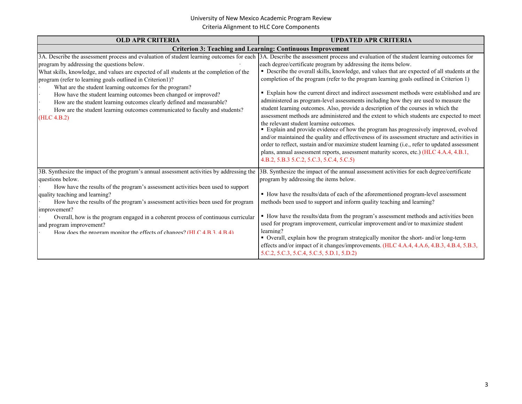| <b>OLD APR CRITERIA</b>                                                                                                                                                                                                                                                                                                                                                                                                                                                                                                                                                                                                                                                                       | <b>UPDATED APR CRITERIA</b>                                                                                                                                                                                                                                                                                                                                                                                                                                                                                                                                                                                                                                                                                                                                                                                                                                                                                                                                                                                                                                                                                  |
|-----------------------------------------------------------------------------------------------------------------------------------------------------------------------------------------------------------------------------------------------------------------------------------------------------------------------------------------------------------------------------------------------------------------------------------------------------------------------------------------------------------------------------------------------------------------------------------------------------------------------------------------------------------------------------------------------|--------------------------------------------------------------------------------------------------------------------------------------------------------------------------------------------------------------------------------------------------------------------------------------------------------------------------------------------------------------------------------------------------------------------------------------------------------------------------------------------------------------------------------------------------------------------------------------------------------------------------------------------------------------------------------------------------------------------------------------------------------------------------------------------------------------------------------------------------------------------------------------------------------------------------------------------------------------------------------------------------------------------------------------------------------------------------------------------------------------|
|                                                                                                                                                                                                                                                                                                                                                                                                                                                                                                                                                                                                                                                                                               | <b>Criterion 3: Teaching and Learning: Continuous Improvement</b>                                                                                                                                                                                                                                                                                                                                                                                                                                                                                                                                                                                                                                                                                                                                                                                                                                                                                                                                                                                                                                            |
| 3A. Describe the assessment process and evaluation of student learning outcomes for each 3A. Describe the assessment process and evaluation of the student learning outcomes for<br>program by addressing the questions below.<br>What skills, knowledge, and values are expected of all students at the completion of the<br>program (refer to learning goals outlined in Criterion1)?<br>What are the student learning outcomes for the program?<br>How have the student learning outcomes been changed or improved?<br>How are the student learning outcomes clearly defined and measurable?<br>How are the student learning outcomes communicated to faculty and students?<br>(HLC 4.B.2) | each degree/certificate program by addressing the items below.<br>• Describe the overall skills, knowledge, and values that are expected of all students at the<br>completion of the program (refer to the program learning goals outlined in Criterion 1)<br>Explain how the current direct and indirect assessment methods were established and are<br>administered as program-level assessments including how they are used to measure the<br>student learning outcomes. Also, provide a description of the courses in which the<br>assessment methods are administered and the extent to which students are expected to meet<br>the relevant student learning outcomes.<br>• Explain and provide evidence of how the program has progressively improved, evolved<br>and/or maintained the quality and effectiveness of its assessment structure and activities in<br>order to reflect, sustain and/or maximize student learning (i.e., refer to updated assessment<br>plans, annual assessment reports, assessment maturity scores, etc.) (HLC 4.A.4, 4.B.1,<br>4.B.2, 5.B.3 5.C.2, 5.C.3, 5.C.4, 5.C.5) |
| 3B. Synthesize the impact of the program's annual assessment activities by addressing the<br>questions below.<br>How have the results of the program's assessment activities been used to support<br>quality teaching and learning?<br>How have the results of the program's assessment activities been used for program<br>improvement?<br>Overall, how is the program engaged in a coherent process of continuous curricular<br>and program improvement?<br>How does the program monitor the effects of changes? (HLC $4B34B4$ )                                                                                                                                                            | 3B. Synthesize the impact of the annual assessment activities for each degree/certificate<br>program by addressing the items below.<br>• How have the results/data of each of the aforementioned program-level assessment<br>methods been used to support and inform quality teaching and learning?<br>• How have the results/data from the program's assessment methods and activities been<br>used for program improvement, curricular improvement and/or to maximize student<br>learning?<br>• Overall, explain how the program strategically monitor the short- and/or long-term<br>effects and/or impact of it changes/improvements. (HLC 4.A.4, 4.A.6, 4.B.3, 4.B.4, 5.B.3,<br>5.C.2, 5.C.3, 5.C.4, 5.C.5, 5.D.1, 5.D.2)                                                                                                                                                                                                                                                                                                                                                                               |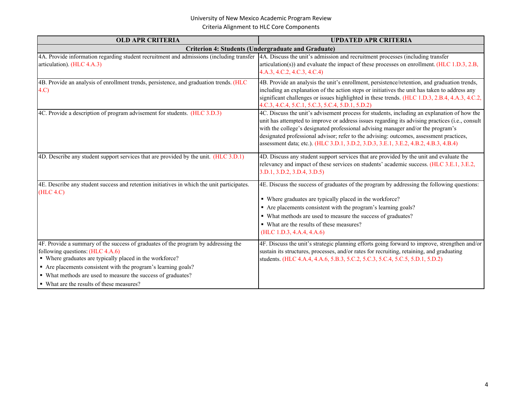| <b>OLD APR CRITERIA</b>                                                                                                                                                                                                                                                                                                                                           | <b>UPDATED APR CRITERIA</b>                                                                                                                                                                                                                                                                                                                                                                                                                                           |
|-------------------------------------------------------------------------------------------------------------------------------------------------------------------------------------------------------------------------------------------------------------------------------------------------------------------------------------------------------------------|-----------------------------------------------------------------------------------------------------------------------------------------------------------------------------------------------------------------------------------------------------------------------------------------------------------------------------------------------------------------------------------------------------------------------------------------------------------------------|
|                                                                                                                                                                                                                                                                                                                                                                   | <b>Criterion 4: Students (Undergraduate and Graduate)</b>                                                                                                                                                                                                                                                                                                                                                                                                             |
| 4A. Provide information regarding student recruitment and admissions (including transfer<br>articulation). (HLC 4.A.3)                                                                                                                                                                                                                                            | 4A. Discuss the unit's admission and recruitment processes (including transfer<br>articulation(s)) and evaluate the impact of these processes on enrollment. (HLC 1.D.3, 2.B,<br>4.A.3, 4.C.2, 4.C.3, 4.C.4)                                                                                                                                                                                                                                                          |
| 4B. Provide an analysis of enrollment trends, persistence, and graduation trends. (HLC<br>4.C                                                                                                                                                                                                                                                                     | 4B. Provide an analysis the unit's enrollment, persistence/retention, and graduation trends,<br>including an explanation of the action steps or initiatives the unit has taken to address any<br>significant challenges or issues highlighted in these trends. (HLC 1.D.3, 2.B.4, 4.A.3, 4.C.2,<br>4.C.3, 4.C.4, 5.C.1, 5.C.3, 5.C.4, 5.D.1, 5.D.2)                                                                                                                   |
| 4C. Provide a description of program advisement for students. (HLC 3.D.3)                                                                                                                                                                                                                                                                                         | 4C. Discuss the unit's advisement process for students, including an explanation of how the<br>unit has attempted to improve or address issues regarding its advising practices (i.e., consult<br>with the college's designated professional advising manager and/or the program's<br>designated professional advisor; refer to the advising: outcomes, assessment practices,<br>assessment data; etc.). (HLC 3.D.1, 3.D.2, 3.D.3, 3.E.1, 3.E.2, 4.B.2, 4.B.3, 4.B.4) |
| 4D. Describe any student support services that are provided by the unit. (HLC 3.D.1)                                                                                                                                                                                                                                                                              | 4D. Discuss any student support services that are provided by the unit and evaluate the<br>relevancy and impact of these services on students' academic success. (HLC 3.E.1, 3.E.2,<br>3.D.1, 3.D.2, 3.D.4, 3.D.5)                                                                                                                                                                                                                                                    |
| 4E. Describe any student success and retention initiatives in which the unit participates.<br>(HLC 4.C)                                                                                                                                                                                                                                                           | 4E. Discuss the success of graduates of the program by addressing the following questions:<br>• Where graduates are typically placed in the workforce?<br>• Are placements consistent with the program's learning goals?<br>• What methods are used to measure the success of graduates?<br>• What are the results of these measures?<br>(HLC 1.D.3, 4.A.4, 4.A.6)                                                                                                    |
| 4F. Provide a summary of the success of graduates of the program by addressing the<br>following questions: (HLC 4.A.6)<br>• Where graduates are typically placed in the workforce?<br>• Are placements consistent with the program's learning goals?<br>• What methods are used to measure the success of graduates?<br>• What are the results of these measures? | 4F. Discuss the unit's strategic planning efforts going forward to improve, strengthen and/or<br>sustain its structures, processes, and/or rates for recruiting, retaining, and graduating<br>students. (HLC 4.A.4, 4.A.6, 5.B.3, 5.C.2, 5.C.3, 5.C.4, 5.C.5, 5.D.1, 5.D.2)                                                                                                                                                                                           |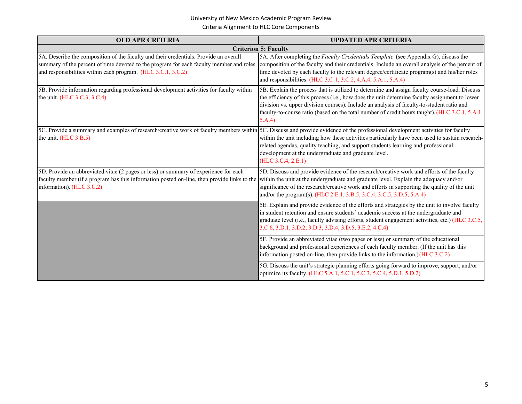| <b>OLD APR CRITERIA</b>                                                                                                                                                                                                                                                                               | <b>UPDATED APR CRITERIA</b>                                                                                                                                                                                                                                                                                                                                                                            |
|-------------------------------------------------------------------------------------------------------------------------------------------------------------------------------------------------------------------------------------------------------------------------------------------------------|--------------------------------------------------------------------------------------------------------------------------------------------------------------------------------------------------------------------------------------------------------------------------------------------------------------------------------------------------------------------------------------------------------|
|                                                                                                                                                                                                                                                                                                       | <b>Criterion 5: Faculty</b>                                                                                                                                                                                                                                                                                                                                                                            |
| 5A. Describe the composition of the faculty and their credentials. Provide an overall<br>summary of the percent of time devoted to the program for each faculty member and roles<br>and responsibilities within each program. (HLC 3.C.1, 3.C.2)                                                      | 5A. After completing the Faculty Credentials Template (see Appendix G), discuss the<br>composition of the faculty and their credentials. Include an overall analysis of the percent of<br>time devoted by each faculty to the relevant degree/certificate program(s) and his/her roles<br>and responsibilities. (HLC 3.C.1, 3.C.2, 4.A.4, 5.A.1, 5.A.4)                                                |
| 5B. Provide information regarding professional development activities for faculty within<br>the unit. (HLC 3.C.3, 3.C.4)                                                                                                                                                                              | 5B. Explain the process that is utilized to determine and assign faculty course-load. Discuss<br>the efficiency of this process (i.e., how does the unit determine faculty assignment to lower<br>division vs. upper division courses). Include an analysis of faculty-to-student ratio and<br>faculty-to-course ratio (based on the total number of credit hours taught). (HLC 3.C.1, 5.A.1,<br>5.A.4 |
| 5C. Provide a summary and examples of research/creative work of faculty members within 5C. Discuss and provide evidence of the professional development activities for faculty<br>the unit. (HLC 3.B.5)                                                                                               | within the unit including how these activities particularly have been used to sustain research-<br>related agendas, quality teaching, and support students learning and professional<br>development at the undergraduate and graduate level.<br>(HLC 3.C.4, 2.E.1)                                                                                                                                     |
| 5D. Provide an abbreviated vitae (2 pages or less) or summary of experience for each<br>faculty member (if a program has this information posted on-line, then provide links to the within the unit at the undergraduate and graduate level. Explain the adequacy and/or<br>information). (HLC 3.C.2) | 5D. Discuss and provide evidence of the research/creative work and efforts of the faculty<br>significance of the research/creative work and efforts in supporting the quality of the unit<br>and/or the program(s). (HLC 2.E.1, 3.B.5, 3.C.4, 3.C.5, 3.D.5, 5.A.4)                                                                                                                                     |
|                                                                                                                                                                                                                                                                                                       | 5E. Explain and provide evidence of the efforts and strategies by the unit to involve faculty<br>in student retention and ensure students' academic success at the undergraduate and<br>graduate level (i.e., faculty advising efforts, student engagement activities, etc.) (HLC 3.C.5,<br>3.C.6, 3.D.1, 3.D.2, 3.D.3, 3.D.4, 3.D.5, 3.E.2, 4.C.4)                                                    |
|                                                                                                                                                                                                                                                                                                       | 5F. Provide an abbreviated vitae (two pages or less) or summary of the educational<br>background and professional experiences of each faculty member. (If the unit has this<br>information posted on-line, then provide links to the information.) (HLC 3.C.2)                                                                                                                                         |
|                                                                                                                                                                                                                                                                                                       | 5G. Discuss the unit's strategic planning efforts going forward to improve, support, and/or<br>optimize its faculty. (HLC 5.A.1, 5.C.1, 5.C.3, 5.C.4, 5.D.1, 5.D.2)                                                                                                                                                                                                                                    |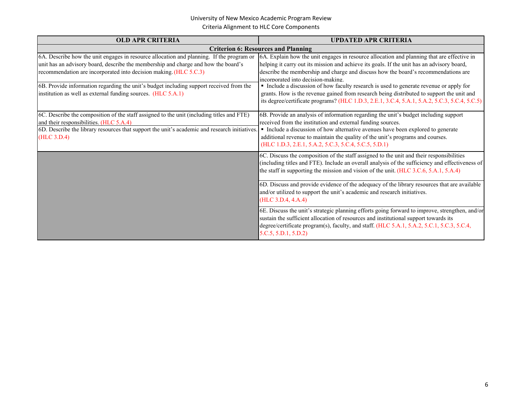| <b>OLD APR CRITERIA</b>                                                                                                                                                                                                                                                                                                                        | <b>UPDATED APR CRITERIA</b>                                                                                                                                                                                                                                                                                                                                                                                     |
|------------------------------------------------------------------------------------------------------------------------------------------------------------------------------------------------------------------------------------------------------------------------------------------------------------------------------------------------|-----------------------------------------------------------------------------------------------------------------------------------------------------------------------------------------------------------------------------------------------------------------------------------------------------------------------------------------------------------------------------------------------------------------|
|                                                                                                                                                                                                                                                                                                                                                | <b>Criterion 6: Resources and Planning</b>                                                                                                                                                                                                                                                                                                                                                                      |
| 6A. Describe how the unit engages in resource allocation and planning. If the program or<br>unit has an advisory board, describe the membership and charge and how the board's<br>recommendation are incorporated into decision making. (HLC 5.C.3)<br>6B. Provide information regarding the unit's budget including support received from the | 6A. Explain how the unit engages in resource allocation and planning that are effective in<br>helping it carry out its mission and achieve its goals. If the unit has an advisory board,<br>describe the membership and charge and discuss how the board's recommendations are<br>incorporated into decision-making.<br>• Include a discussion of how faculty research is used to generate revenue or apply for |
| institution as well as external funding sources. (HLC 5.A.1)                                                                                                                                                                                                                                                                                   | grants. How is the revenue gained from research being distributed to support the unit and<br>its degree/certificate programs? (HLC 1.D.3, 2.E.1, 3.C.4, 5.A.1, 5.A.2, 5.C.3, 5.C.4, 5.C.5)                                                                                                                                                                                                                      |
| 6C. Describe the composition of the staff assigned to the unit (including titles and FTE)<br>and their responsibilities. (HLC 5.A.4)<br>6D. Describe the library resources that support the unit's academic and research initiatives.<br>(HLC 3.D.4)                                                                                           | 6B. Provide an analysis of information regarding the unit's budget including support<br>received from the institution and external funding sources.<br>• Include a discussion of how alternative avenues have been explored to generate<br>additional revenue to maintain the quality of the unit's programs and courses.<br>(HLC 1.D.3, 2.E.1, 5.A.2, 5.C.3, 5.C.4, 5.C.5, 5.D.1)                              |
|                                                                                                                                                                                                                                                                                                                                                | 6C. Discuss the composition of the staff assigned to the unit and their responsibilities<br>(including titles and FTE). Include an overall analysis of the sufficiency and effectiveness of<br>the staff in supporting the mission and vision of the unit. (HLC $3.C.6, 5.A.1, 5.A.4$ )                                                                                                                         |
|                                                                                                                                                                                                                                                                                                                                                | 6D. Discuss and provide evidence of the adequacy of the library resources that are available<br>and/or utilized to support the unit's academic and research initiatives.<br>(HLC 3.D.4, 4.A.4)                                                                                                                                                                                                                  |
|                                                                                                                                                                                                                                                                                                                                                | 6E. Discuss the unit's strategic planning efforts going forward to improve, strengthen, and/or<br>sustain the sufficient allocation of resources and institutional support towards its<br>degree/certificate program(s), faculty, and staff. (HLC 5.A.1, 5.A.2, 5.C.1, 5.C.3, 5.C.4,<br>5.C.5, 5.D.1, 5.D.2                                                                                                     |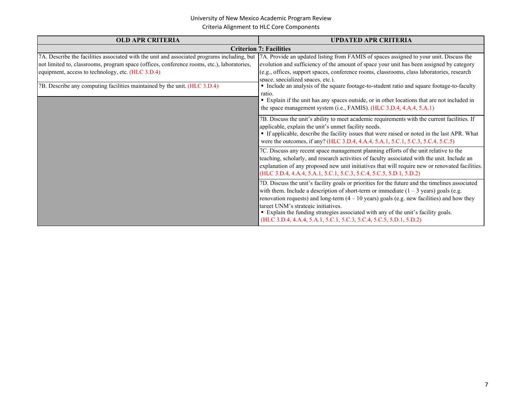| <b>OLD APR CRITERIA</b>                                                                                                                                                                                                                                                                                                     | <b>UPDATED APR CRITERIA</b>                                                                                                                                                                                                                                                                                                                                                                                                                                                                                                                                                                           |
|-----------------------------------------------------------------------------------------------------------------------------------------------------------------------------------------------------------------------------------------------------------------------------------------------------------------------------|-------------------------------------------------------------------------------------------------------------------------------------------------------------------------------------------------------------------------------------------------------------------------------------------------------------------------------------------------------------------------------------------------------------------------------------------------------------------------------------------------------------------------------------------------------------------------------------------------------|
|                                                                                                                                                                                                                                                                                                                             | <b>Criterion 7: Facilities</b>                                                                                                                                                                                                                                                                                                                                                                                                                                                                                                                                                                        |
| 7A. Describe the facilities associated with the unit and associated programs including, but<br>not limited to, classrooms, program space (offices, conference rooms, etc.), laboratories,<br>equipment, access to technology, etc. (HLC 3.D.4)<br>7B. Describe any computing facilities maintained by the unit. (HLC 3.D.4) | 7A. Provide an updated listing from FAMIS of spaces assigned to your unit. Discuss the<br>evolution and sufficiency of the amount of space your unit has been assigned by category<br>(e.g., offices, support spaces, conference rooms, classrooms, class laboratories, research<br>space, specialized spaces, etc.).<br>• Include an analysis of the square footage-to-student ratio and square footage-to-faculty<br>ratio.<br>• Explain if the unit has any spaces outside, or in other locations that are not included in<br>the space management system (i.e., FAMIS). (HLC 3.D.4, 4.A.4, 5.A.1) |
|                                                                                                                                                                                                                                                                                                                             | 7B. Discuss the unit's ability to meet academic requirements with the current facilities. If<br>applicable, explain the unit's unmet facility needs.<br>• If applicable, describe the facility issues that were raised or noted in the last APR. What<br>were the outcomes, if any? (HLC 3.D.4, 4.A.4, 5.A.1, 5.C.1, 5.C.3, 5.C.4, 5.C.5)                                                                                                                                                                                                                                                             |
|                                                                                                                                                                                                                                                                                                                             | 7C. Discuss any recent space management planning efforts of the unit relative to the<br>teaching, scholarly, and research activities of faculty associated with the unit. Include an<br>explanation of any proposed new unit initiatives that will require new or renovated facilities.<br>(HLC 3.D.4, 4.A.4, 5.A.1, 5.C.1, 5.C.3, 5.C.4, 5.C.5, 5.D.1, 5.D.2)                                                                                                                                                                                                                                        |
|                                                                                                                                                                                                                                                                                                                             | 7D. Discuss the unit's facility goals or priorities for the future and the timelines associated<br>with them. Include a description of short-term or immediate $(1 – 3 \text{ years})$ goals (e.g.<br>renovation requests) and long-term $(4 - 10$ years) goals (e.g. new facilities) and how they<br>target UNM's strategic initiatives.<br>• Explain the funding strategies associated with any of the unit's facility goals.<br>(HLC 3.D.4, 4.A.4, 5.A.1, 5.C.1, 5.C.3, 5.C.4, 5.C.5, 5.D.1, 5.D.2)                                                                                                |